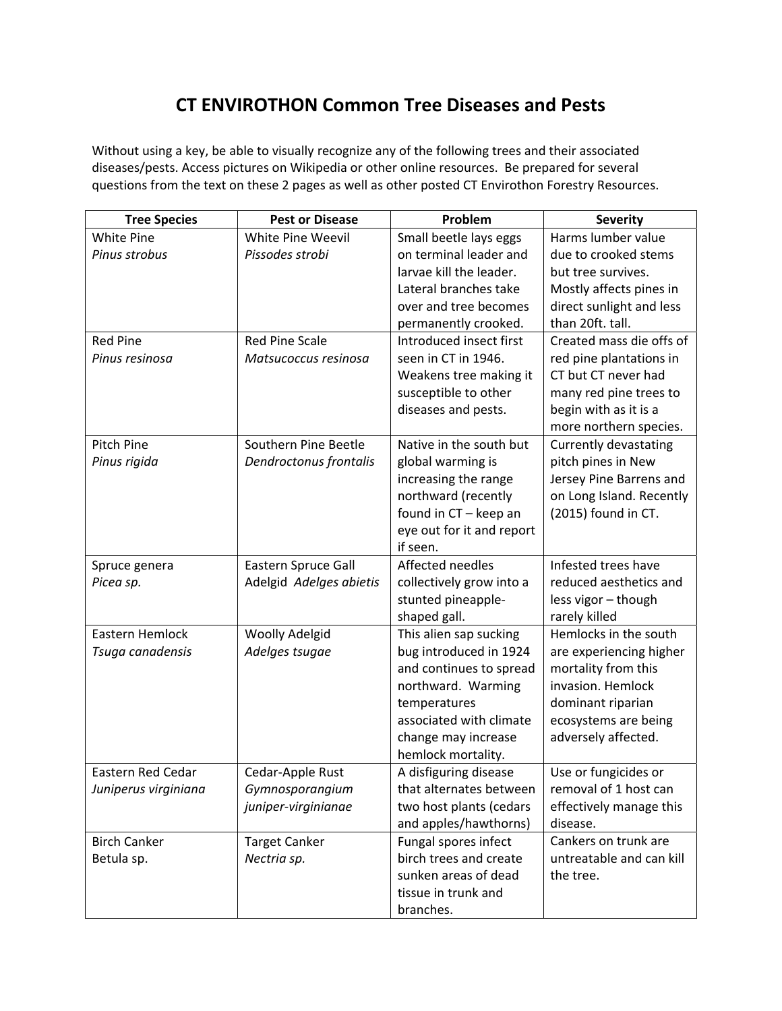## **CT ENVIROTHON Common Tree Diseases and Pests**

Without using a key, be able to visually recognize any of the following trees and their associated diseases/pests. Access pictures on Wikipedia or other online resources. Be prepared for several questions from the text on these 2 pages as well as other posted CT Envirothon Forestry Resources.

| <b>Tree Species</b>  | <b>Pest or Disease</b>  | Problem                   | <b>Severity</b>          |
|----------------------|-------------------------|---------------------------|--------------------------|
| White Pine           | White Pine Weevil       | Small beetle lays eggs    | Harms lumber value       |
| Pinus strobus        | Pissodes strobi         | on terminal leader and    | due to crooked stems     |
|                      |                         | larvae kill the leader.   | but tree survives.       |
|                      |                         | Lateral branches take     | Mostly affects pines in  |
|                      |                         | over and tree becomes     | direct sunlight and less |
|                      |                         | permanently crooked.      | than 20ft. tall.         |
| <b>Red Pine</b>      | <b>Red Pine Scale</b>   | Introduced insect first   | Created mass die offs of |
| Pinus resinosa       | Matsucoccus resinosa    | seen in CT in 1946.       | red pine plantations in  |
|                      |                         | Weakens tree making it    | CT but CT never had      |
|                      |                         | susceptible to other      | many red pine trees to   |
|                      |                         | diseases and pests.       | begin with as it is a    |
|                      |                         |                           | more northern species.   |
| Pitch Pine           | Southern Pine Beetle    | Native in the south but   | Currently devastating    |
| Pinus rigida         | Dendroctonus frontalis  | global warming is         | pitch pines in New       |
|                      |                         | increasing the range      | Jersey Pine Barrens and  |
|                      |                         | northward (recently       | on Long Island. Recently |
|                      |                         | found in CT - keep an     | (2015) found in CT.      |
|                      |                         | eye out for it and report |                          |
|                      |                         | if seen.                  |                          |
| Spruce genera        | Eastern Spruce Gall     | Affected needles          | Infested trees have      |
| Picea sp.            | Adelgid Adelges abietis | collectively grow into a  | reduced aesthetics and   |
|                      |                         | stunted pineapple-        | less vigor - though      |
|                      |                         | shaped gall.              | rarely killed            |
| Eastern Hemlock      | <b>Woolly Adelgid</b>   | This alien sap sucking    | Hemlocks in the south    |
| Tsuga canadensis     | Adelges tsugae          | bug introduced in 1924    | are experiencing higher  |
|                      |                         | and continues to spread   | mortality from this      |
|                      |                         | northward. Warming        | invasion. Hemlock        |
|                      |                         | temperatures              | dominant riparian        |
|                      |                         | associated with climate   | ecosystems are being     |
|                      |                         | change may increase       | adversely affected.      |
|                      |                         | hemlock mortality.        |                          |
| Eastern Red Cedar    | Cedar-Apple Rust        | A disfiguring disease     | Use or fungicides or     |
| Juniperus virginiana | Gymnosporangium         | that alternates between   | removal of 1 host can    |
|                      | juniper-virginianae     | two host plants (cedars   | effectively manage this  |
|                      |                         | and apples/hawthorns)     | disease.                 |
| <b>Birch Canker</b>  | <b>Target Canker</b>    | Fungal spores infect      | Cankers on trunk are     |
| Betula sp.           | Nectria sp.             | birch trees and create    | untreatable and can kill |
|                      |                         | sunken areas of dead      | the tree.                |
|                      |                         | tissue in trunk and       |                          |
|                      |                         | branches.                 |                          |